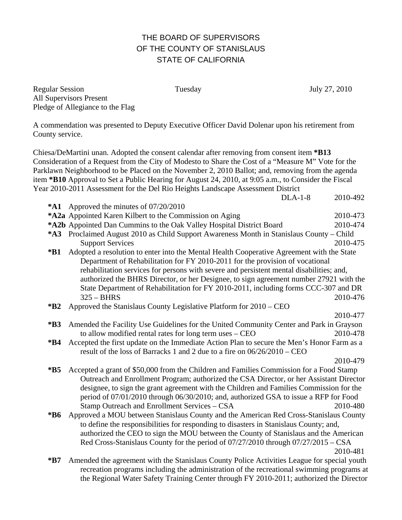## THE BOARD OF SUPERVISORS OF THE COUNTY OF STANISLAUS STATE OF CALIFORNIA

Regular Session Tuesday July 27, 2010 All Supervisors Present Pledge of Allegiance to the Flag

A commendation was presented to Deputy Executive Officer David Dolenar upon his retirement from County service.

Chiesa/DeMartini unan. Adopted the consent calendar after removing from consent item **\*B13** Consideration of a Request from the City of Modesto to Share the Cost of a "Measure M" Vote for the Parklawn Neighborhood to be Placed on the November 2, 2010 Ballot; and, removing from the agenda item **\*B10** Approval to Set a Public Hearing for August 24, 2010, at 9:05 a.m., to Consider the Fiscal Year 2010-2011 Assessment for the Del Rio Heights Landscape Assessment District

|             | $DLA-1-8$                                                                                                                                                                                | 2010-492 |
|-------------|------------------------------------------------------------------------------------------------------------------------------------------------------------------------------------------|----------|
| *A1         | Approved the minutes of 07/20/2010                                                                                                                                                       |          |
|             | *A2a Appointed Karen Kilbert to the Commission on Aging                                                                                                                                  | 2010-473 |
|             | *A2b Appointed Dan Cummins to the Oak Valley Hospital District Board                                                                                                                     | 2010-474 |
|             | *A3 Proclaimed August 2010 as Child Support Awareness Month in Stanislaus County – Child<br><b>Support Services</b>                                                                      | 2010-475 |
| $*B1$       | Adopted a resolution to enter into the Mental Health Cooperative Agreement with the State<br>Department of Rehabilitation for FY 2010-2011 for the provision of vocational               |          |
|             | rehabilitation services for persons with severe and persistent mental disabilities; and,<br>authorized the BHRS Director, or her Designee, to sign agreement number 27921 with the       |          |
|             | State Department of Rehabilitation for FY 2010-2011, including forms CCC-307 and DR<br>$325 - BHRS$                                                                                      | 2010-476 |
| $*B2$       | Approved the Stanislaus County Legislative Platform for 2010 – CEO                                                                                                                       |          |
|             |                                                                                                                                                                                          | 2010-477 |
| $*B3$       | Amended the Facility Use Guidelines for the United Community Center and Park in Grayson                                                                                                  |          |
|             | to allow modified rental rates for long term uses - CEO                                                                                                                                  | 2010-478 |
| *B4         | Accepted the first update on the Immediate Action Plan to secure the Men's Honor Farm as a                                                                                               |          |
|             | result of the loss of Barracks 1 and 2 due to a fire on $06/26/2010$ – CEO                                                                                                               |          |
|             |                                                                                                                                                                                          | 2010-479 |
| $*B5$       | Accepted a grant of \$50,000 from the Children and Families Commission for a Food Stamp                                                                                                  |          |
|             | Outreach and Enrollment Program; authorized the CSA Director, or her Assistant Director                                                                                                  |          |
|             | designee, to sign the grant agreement with the Children and Families Commission for the                                                                                                  |          |
|             | period of 07/01/2010 through 06/30/2010; and, authorized GSA to issue a RFP for Food                                                                                                     |          |
|             | Stamp Outreach and Enrollment Services – CSA                                                                                                                                             | 2010-480 |
| $*B6$       | Approved a MOU between Stanislaus County and the American Red Cross-Stanislaus County                                                                                                    |          |
|             | to define the responsibilities for responding to disasters in Stanislaus County; and,                                                                                                    |          |
|             | authorized the CEO to sign the MOU between the County of Stanislaus and the American                                                                                                     |          |
|             | Red Cross-Stanislaus County for the period of 07/27/2010 through 07/27/2015 - CSA                                                                                                        |          |
|             |                                                                                                                                                                                          | 2010-481 |
| $*{\bf B7}$ | Amended the agreement with the Stanislaus County Police Activities League for special youth<br>recreation programs including the administration of the recreational swimming programs at |          |

recreation programs including the administration of the recreational swimming programs at the Regional Water Safety Training Center through FY 2010-2011; authorized the Director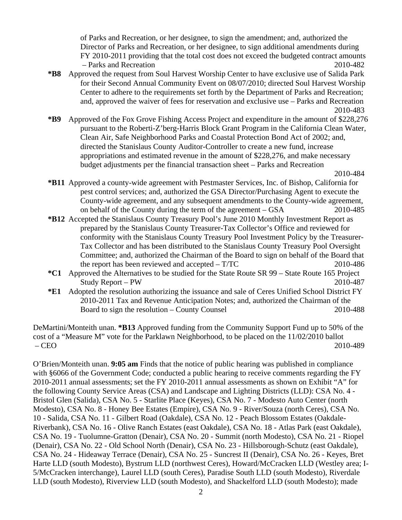of Parks and Recreation, or her designee, to sign the amendment; and, authorized the Director of Parks and Recreation, or her designee, to sign additional amendments during FY 2010-2011 providing that the total cost does not exceed the budgeted contract amounts – Parks and Recreation 2010-482

- **\*B8** Approved the request from Soul Harvest Worship Center to have exclusive use of Salida Park for their Second Annual Community Event on 08/07/2010; directed Soul Harvest Worship Center to adhere to the requirements set forth by the Department of Parks and Recreation; and, approved the waiver of fees for reservation and exclusive use – Parks and Recreation 2010-483
- **\*B9** Approved of the Fox Grove Fishing Access Project and expenditure in the amount of \$228,276 pursuant to the Roberti-Z'berg-Harris Block Grant Program in the California Clean Water, Clean Air, Safe Neighborhood Parks and Coastal Protection Bond Act of 2002; and, directed the Stanislaus County Auditor-Controller to create a new fund, increase appropriations and estimated revenue in the amount of \$228,276, and make necessary budget adjustments per the financial transaction sheet – Parks and Recreation

- **\*B11** Approved a county-wide agreement with Pestmaster Services, Inc. of Bishop, California for pest control services; and, authorized the GSA Director/Purchasing Agent to execute the County-wide agreement, and any subsequent amendments to the County-wide agreement, on behalf of the County during the term of the agreement – GSA 2010-485
- **\*B12** Accepted the Stanislaus County Treasury Pool's June 2010 Monthly Investment Report as prepared by the Stanislaus County Treasurer-Tax Collector's Office and reviewed for conformity with the Stanislaus County Treasury Pool Investment Policy by the Treasurer-Tax Collector and has been distributed to the Stanislaus County Treasury Pool Oversight Committee; and, authorized the Chairman of the Board to sign on behalf of the Board that the report has been reviewed and accepted – T/TC 2010-486
- **\*C1** Approved the Alternatives to be studied for the State Route SR 99 State Route 165 Project Study Report – PW 2010-487
- **\*E1** Adopted the resolution authorizing the issuance and sale of Ceres Unified School District FY 2010-2011 Tax and Revenue Anticipation Notes; and, authorized the Chairman of the Board to sign the resolution – County Counsel 2010-488

DeMartini/Monteith unan. **\*B13** Approved funding from the Community Support Fund up to 50% of the cost of a "Measure M" vote for the Parklawn Neighborhood, to be placed on the 11/02/2010 ballot – CEO 2010-489

O'Brien/Monteith unan. **9:05 am** Finds that the notice of public hearing was published in compliance with §6066 of the Government Code; conducted a public hearing to receive comments regarding the FY 2010-2011 annual assessments; set the FY 2010-2011 annual assessments as shown on Exhibit "A" for the following County Service Areas (CSA) and Landscape and Lighting Districts (LLD): CSA No. 4 - Bristol Glen (Salida), CSA No. 5 - Starlite Place (Keyes), CSA No. 7 - Modesto Auto Center (north Modesto), CSA No. 8 - Honey Bee Estates (Empire), CSA No. 9 - River/Souza (north Ceres), CSA No. 10 - Salida, CSA No. 11 - Gilbert Road (Oakdale), CSA No. 12 - Peach Blossom Estates (Oakdale-Riverbank), CSA No. 16 - Olive Ranch Estates (east Oakdale), CSA No. 18 - Atlas Park (east Oakdale), CSA No. 19 - Tuolumne-Gratton (Denair), CSA No. 20 - Summit (north Modesto), CSA No. 21 - Riopel (Denair), CSA No. 22 - Old School North (Denair), CSA No. 23 - Hillsborough-Schutz (east Oakdale), CSA No. 24 - Hideaway Terrace (Denair), CSA No. 25 - Suncrest II (Denair), CSA No. 26 - Keyes, Bret Harte LLD (south Modesto), Bystrum LLD (northwest Ceres), Howard/McCracken LLD (Westley area; I-5/McCracken interchange), Laurel LLD (south Ceres), Paradise South LLD (south Modesto), Riverdale LLD (south Modesto), Riverview LLD (south Modesto), and Shackelford LLD (south Modesto); made

2010-484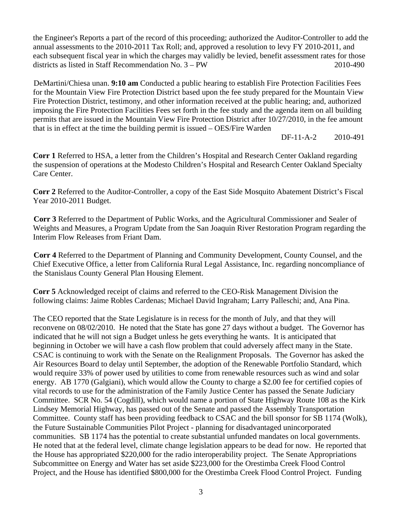the Engineer's Reports a part of the record of this proceeding; authorized the Auditor-Controller to add the annual assessments to the 2010-2011 Tax Roll; and, approved a resolution to levy FY 2010-2011, and each subsequent fiscal year in which the charges may validly be levied, benefit assessment rates for those districts as listed in Staff Recommendation No. 3 – PW 2010-490

DeMartini/Chiesa unan. **9:10 am** Conducted a public hearing to establish Fire Protection Facilities Fees for the Mountain View Fire Protection District based upon the fee study prepared for the Mountain View Fire Protection District, testimony, and other information received at the public hearing; and, authorized imposing the Fire Protection Facilities Fees set forth in the fee study and the agenda item on all building permits that are issued in the Mountain View Fire Protection District after 10/27/2010, in the fee amount that is in effect at the time the building permit is issued – OES/Fire Warden

DF-11-A-2 2010-491

**Corr 1** Referred to HSA, a letter from the Children's Hospital and Research Center Oakland regarding the suspension of operations at the Modesto Children's Hospital and Research Center Oakland Specialty Care Center.

**Corr 2** Referred to the Auditor-Controller, a copy of the East Side Mosquito Abatement District's Fiscal Year 2010-2011 Budget.

**Corr 3** Referred to the Department of Public Works, and the Agricultural Commissioner and Sealer of Weights and Measures, a Program Update from the San Joaquin River Restoration Program regarding the Interim Flow Releases from Friant Dam.

**Corr 4** Referred to the Department of Planning and Community Development, County Counsel, and the Chief Executive Office, a letter from California Rural Legal Assistance, Inc. regarding noncompliance of the Stanislaus County General Plan Housing Element.

**Corr 5** Acknowledged receipt of claims and referred to the CEO-Risk Management Division the following claims: Jaime Robles Cardenas; Michael David Ingraham; Larry Palleschi; and, Ana Pina.

The CEO reported that the State Legislature is in recess for the month of July, and that they will reconvene on 08/02/2010. He noted that the State has gone 27 days without a budget. The Governor has indicated that he will not sign a Budget unless he gets everything he wants. It is anticipated that beginning in October we will have a cash flow problem that could adversely affect many in the State. CSAC is continuing to work with the Senate on the Realignment Proposals. The Governor has asked the Air Resources Board to delay until September, the adoption of the Renewable Portfolio Standard, which would require 33% of power used by utilities to come from renewable resources such as wind and solar energy. AB 1770 (Galgiani), which would allow the County to charge a \$2.00 fee for certified copies of vital records to use for the administration of the Family Justice Center has passed the Senate Judiciary Committee. SCR No. 54 (Cogdill), which would name a portion of State Highway Route 108 as the Kirk Lindsey Memorial Highway, has passed out of the Senate and passed the Assembly Transportation Committee. County staff has been providing feedback to CSAC and the bill sponsor for SB 1174 (Wolk), the Future Sustainable Communities Pilot Project - planning for disadvantaged unincorporated communities. SB 1174 has the potential to create substantial unfunded mandates on local governments. He noted that at the federal level, climate change legislation appears to be dead for now. He reported that the House has appropriated \$220,000 for the radio interoperability project. The Senate Appropriations Subcommittee on Energy and Water has set aside \$223,000 for the Orestimba Creek Flood Control Project, and the House has identified \$800,000 for the Orestimba Creek Flood Control Project. Funding